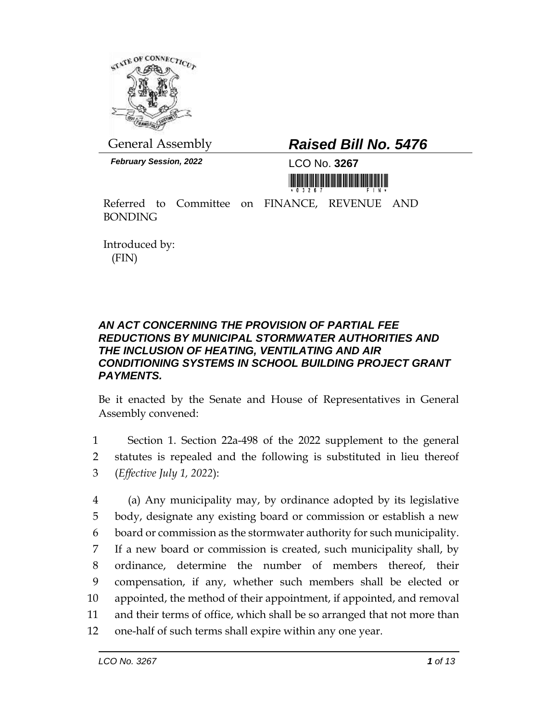

*February Session, 2022* LCO No. **3267**

## General Assembly *Raised Bill No. 5476*

<u> III maarta maanda ka mid maanda maanda maanda m</u>

Referred to Committee on FINANCE, REVENUE AND BONDING

Introduced by: (FIN)

## *AN ACT CONCERNING THE PROVISION OF PARTIAL FEE REDUCTIONS BY MUNICIPAL STORMWATER AUTHORITIES AND THE INCLUSION OF HEATING, VENTILATING AND AIR CONDITIONING SYSTEMS IN SCHOOL BUILDING PROJECT GRANT PAYMENTS.*

Be it enacted by the Senate and House of Representatives in General Assembly convened:

1 Section 1. Section 22a-498 of the 2022 supplement to the general 2 statutes is repealed and the following is substituted in lieu thereof 3 (*Effective July 1, 2022*):

 (a) Any municipality may, by ordinance adopted by its legislative body, designate any existing board or commission or establish a new board or commission as the stormwater authority for such municipality. If a new board or commission is created, such municipality shall, by ordinance, determine the number of members thereof, their compensation, if any, whether such members shall be elected or appointed, the method of their appointment, if appointed, and removal and their terms of office, which shall be so arranged that not more than one-half of such terms shall expire within any one year.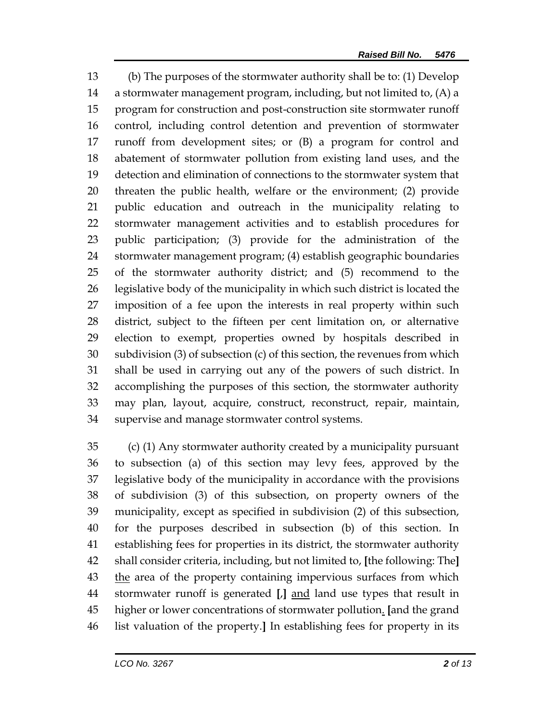(b) The purposes of the stormwater authority shall be to: (1) Develop a stormwater management program, including, but not limited to, (A) a program for construction and post-construction site stormwater runoff control, including control detention and prevention of stormwater runoff from development sites; or (B) a program for control and abatement of stormwater pollution from existing land uses, and the detection and elimination of connections to the stormwater system that threaten the public health, welfare or the environment; (2) provide public education and outreach in the municipality relating to stormwater management activities and to establish procedures for public participation; (3) provide for the administration of the stormwater management program; (4) establish geographic boundaries of the stormwater authority district; and (5) recommend to the legislative body of the municipality in which such district is located the imposition of a fee upon the interests in real property within such district, subject to the fifteen per cent limitation on, or alternative election to exempt, properties owned by hospitals described in subdivision (3) of subsection (c) of this section, the revenues from which shall be used in carrying out any of the powers of such district. In accomplishing the purposes of this section, the stormwater authority may plan, layout, acquire, construct, reconstruct, repair, maintain, supervise and manage stormwater control systems.

 (c) (1) Any stormwater authority created by a municipality pursuant to subsection (a) of this section may levy fees, approved by the legislative body of the municipality in accordance with the provisions of subdivision (3) of this subsection, on property owners of the municipality, except as specified in subdivision (2) of this subsection, for the purposes described in subsection (b) of this section. In establishing fees for properties in its district, the stormwater authority shall consider criteria, including, but not limited to, **[**the following: The**]** 43 the area of the property containing impervious surfaces from which stormwater runoff is generated **[**,**]** and land use types that result in higher or lower concentrations of stormwater pollution. **[**and the grand list valuation of the property.**]** In establishing fees for property in its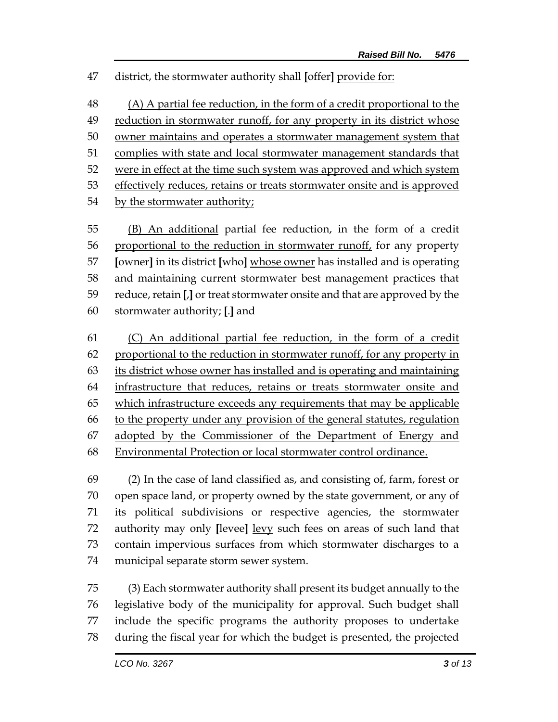district, the stormwater authority shall **[**offer**]** provide for:

 (A) A partial fee reduction, in the form of a credit proportional to the 49 reduction in stormwater runoff, for any property in its district whose owner maintains and operates a stormwater management system that complies with state and local stormwater management standards that were in effect at the time such system was approved and which system 53 effectively reduces, retains or treats stormwater onsite and is approved 54 by the stormwater authority;

 (B) An additional partial fee reduction, in the form of a credit proportional to the reduction in stormwater runoff, for any property **[**owner**]** in its district **[**who**]** whose owner has installed and is operating and maintaining current stormwater best management practices that reduce, retain **[**,**]** or treat stormwater onsite and that are approved by the stormwater authority; **[**.**]** and

 (C) An additional partial fee reduction, in the form of a credit proportional to the reduction in stormwater runoff, for any property in its district whose owner has installed and is operating and maintaining infrastructure that reduces, retains or treats stormwater onsite and which infrastructure exceeds any requirements that may be applicable to the property under any provision of the general statutes, regulation adopted by the Commissioner of the Department of Energy and Environmental Protection or local stormwater control ordinance.

 (2) In the case of land classified as, and consisting of, farm, forest or open space land, or property owned by the state government, or any of its political subdivisions or respective agencies, the stormwater authority may only **[**levee**]** levy such fees on areas of such land that contain impervious surfaces from which stormwater discharges to a municipal separate storm sewer system.

 (3) Each stormwater authority shall present its budget annually to the legislative body of the municipality for approval. Such budget shall include the specific programs the authority proposes to undertake during the fiscal year for which the budget is presented, the projected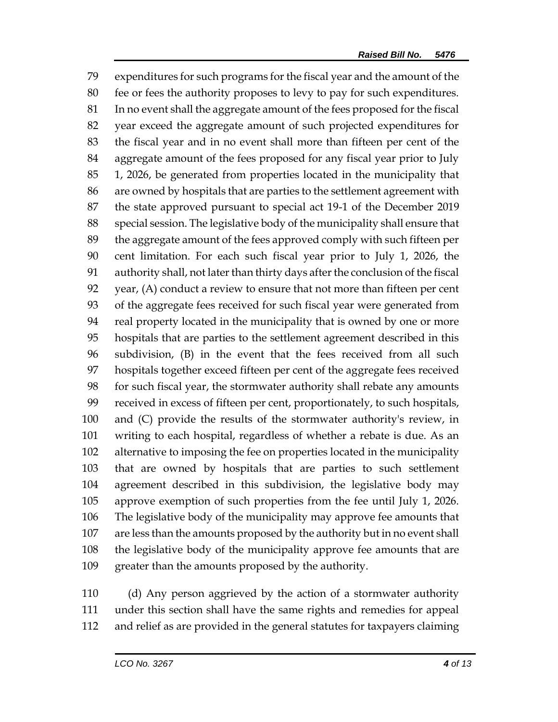expenditures for such programs for the fiscal year and the amount of the fee or fees the authority proposes to levy to pay for such expenditures. In no event shall the aggregate amount of the fees proposed for the fiscal year exceed the aggregate amount of such projected expenditures for the fiscal year and in no event shall more than fifteen per cent of the aggregate amount of the fees proposed for any fiscal year prior to July 1, 2026, be generated from properties located in the municipality that are owned by hospitals that are parties to the settlement agreement with the state approved pursuant to special act 19-1 of the December 2019 special session. The legislative body of the municipality shall ensure that the aggregate amount of the fees approved comply with such fifteen per cent limitation. For each such fiscal year prior to July 1, 2026, the authority shall, not later than thirty days after the conclusion of the fiscal year, (A) conduct a review to ensure that not more than fifteen per cent of the aggregate fees received for such fiscal year were generated from real property located in the municipality that is owned by one or more hospitals that are parties to the settlement agreement described in this subdivision, (B) in the event that the fees received from all such hospitals together exceed fifteen per cent of the aggregate fees received for such fiscal year, the stormwater authority shall rebate any amounts received in excess of fifteen per cent, proportionately, to such hospitals, and (C) provide the results of the stormwater authority's review, in writing to each hospital, regardless of whether a rebate is due. As an alternative to imposing the fee on properties located in the municipality that are owned by hospitals that are parties to such settlement agreement described in this subdivision, the legislative body may approve exemption of such properties from the fee until July 1, 2026. The legislative body of the municipality may approve fee amounts that are less than the amounts proposed by the authority but in no event shall the legislative body of the municipality approve fee amounts that are greater than the amounts proposed by the authority.

 (d) Any person aggrieved by the action of a stormwater authority under this section shall have the same rights and remedies for appeal and relief as are provided in the general statutes for taxpayers claiming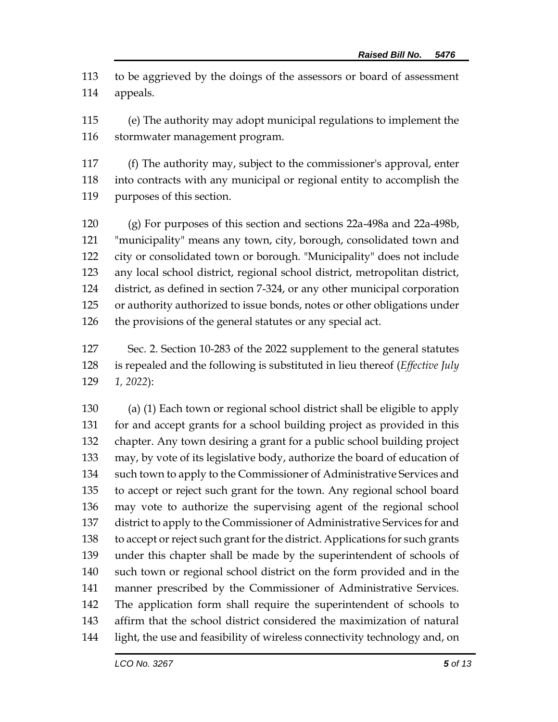to be aggrieved by the doings of the assessors or board of assessment appeals.

 (e) The authority may adopt municipal regulations to implement the stormwater management program.

 (f) The authority may, subject to the commissioner's approval, enter into contracts with any municipal or regional entity to accomplish the purposes of this section.

 (g) For purposes of this section and sections 22a-498a and 22a-498b, "municipality" means any town, city, borough, consolidated town and city or consolidated town or borough. "Municipality" does not include any local school district, regional school district, metropolitan district, district, as defined in section 7-324, or any other municipal corporation or authority authorized to issue bonds, notes or other obligations under the provisions of the general statutes or any special act.

 Sec. 2. Section 10-283 of the 2022 supplement to the general statutes is repealed and the following is substituted in lieu thereof (*Effective July 1, 2022*):

 (a) (1) Each town or regional school district shall be eligible to apply for and accept grants for a school building project as provided in this chapter. Any town desiring a grant for a public school building project may, by vote of its legislative body, authorize the board of education of such town to apply to the Commissioner of Administrative Services and to accept or reject such grant for the town. Any regional school board may vote to authorize the supervising agent of the regional school district to apply to the Commissioner of Administrative Services for and to accept or reject such grant for the district. Applications for such grants under this chapter shall be made by the superintendent of schools of such town or regional school district on the form provided and in the manner prescribed by the Commissioner of Administrative Services. The application form shall require the superintendent of schools to affirm that the school district considered the maximization of natural light, the use and feasibility of wireless connectivity technology and, on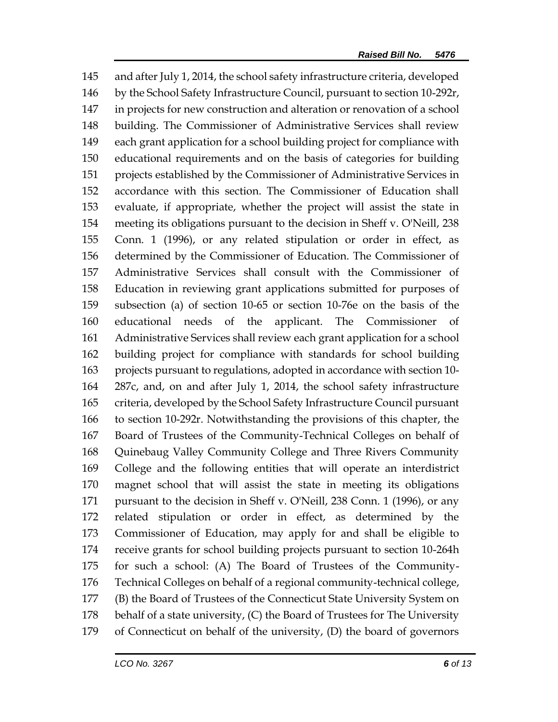and after July 1, 2014, the school safety infrastructure criteria, developed by the School Safety Infrastructure Council, pursuant to section 10-292r, in projects for new construction and alteration or renovation of a school building. The Commissioner of Administrative Services shall review each grant application for a school building project for compliance with educational requirements and on the basis of categories for building projects established by the Commissioner of Administrative Services in accordance with this section. The Commissioner of Education shall evaluate, if appropriate, whether the project will assist the state in meeting its obligations pursuant to the decision in Sheff v. O'Neill, 238 Conn. 1 (1996), or any related stipulation or order in effect, as determined by the Commissioner of Education. The Commissioner of Administrative Services shall consult with the Commissioner of Education in reviewing grant applications submitted for purposes of subsection (a) of section 10-65 or section 10-76e on the basis of the educational needs of the applicant. The Commissioner of Administrative Services shall review each grant application for a school building project for compliance with standards for school building projects pursuant to regulations, adopted in accordance with section 10- 287c, and, on and after July 1, 2014, the school safety infrastructure criteria, developed by the School Safety Infrastructure Council pursuant to section 10-292r. Notwithstanding the provisions of this chapter, the Board of Trustees of the Community-Technical Colleges on behalf of Quinebaug Valley Community College and Three Rivers Community College and the following entities that will operate an interdistrict magnet school that will assist the state in meeting its obligations pursuant to the decision in Sheff v. O'Neill, 238 Conn. 1 (1996), or any related stipulation or order in effect, as determined by the Commissioner of Education, may apply for and shall be eligible to receive grants for school building projects pursuant to section 10-264h for such a school: (A) The Board of Trustees of the Community- Technical Colleges on behalf of a regional community-technical college, (B) the Board of Trustees of the Connecticut State University System on behalf of a state university, (C) the Board of Trustees for The University of Connecticut on behalf of the university, (D) the board of governors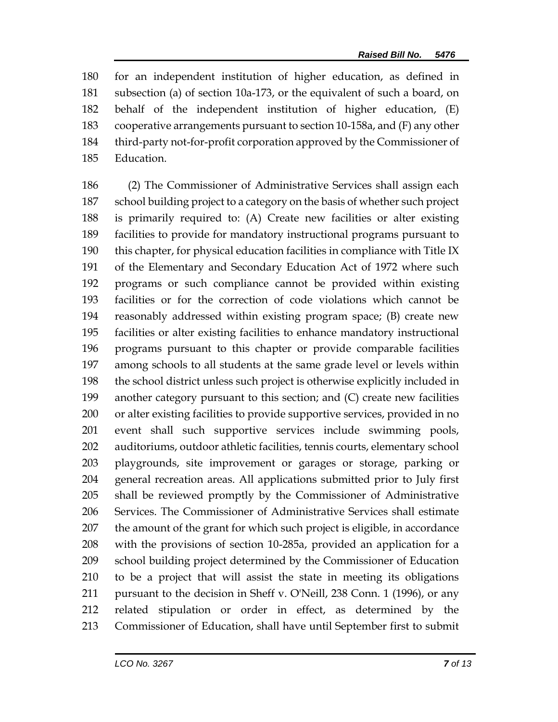for an independent institution of higher education, as defined in subsection (a) of section 10a-173, or the equivalent of such a board, on behalf of the independent institution of higher education, (E) cooperative arrangements pursuant to section 10-158a, and (F) any other third-party not-for-profit corporation approved by the Commissioner of Education.

 (2) The Commissioner of Administrative Services shall assign each school building project to a category on the basis of whether such project is primarily required to: (A) Create new facilities or alter existing facilities to provide for mandatory instructional programs pursuant to this chapter, for physical education facilities in compliance with Title IX of the Elementary and Secondary Education Act of 1972 where such programs or such compliance cannot be provided within existing facilities or for the correction of code violations which cannot be reasonably addressed within existing program space; (B) create new facilities or alter existing facilities to enhance mandatory instructional programs pursuant to this chapter or provide comparable facilities among schools to all students at the same grade level or levels within the school district unless such project is otherwise explicitly included in another category pursuant to this section; and (C) create new facilities or alter existing facilities to provide supportive services, provided in no event shall such supportive services include swimming pools, auditoriums, outdoor athletic facilities, tennis courts, elementary school playgrounds, site improvement or garages or storage, parking or general recreation areas. All applications submitted prior to July first shall be reviewed promptly by the Commissioner of Administrative Services. The Commissioner of Administrative Services shall estimate the amount of the grant for which such project is eligible, in accordance with the provisions of section 10-285a, provided an application for a school building project determined by the Commissioner of Education to be a project that will assist the state in meeting its obligations pursuant to the decision in Sheff v. O'Neill, 238 Conn. 1 (1996), or any related stipulation or order in effect, as determined by the Commissioner of Education, shall have until September first to submit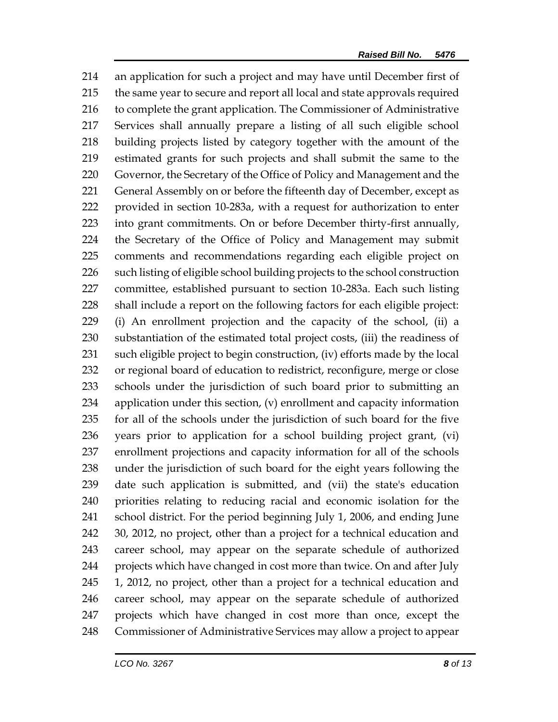an application for such a project and may have until December first of the same year to secure and report all local and state approvals required to complete the grant application. The Commissioner of Administrative Services shall annually prepare a listing of all such eligible school building projects listed by category together with the amount of the estimated grants for such projects and shall submit the same to the Governor, the Secretary of the Office of Policy and Management and the 221 General Assembly on or before the fifteenth day of December, except as provided in section 10-283a, with a request for authorization to enter into grant commitments. On or before December thirty-first annually, the Secretary of the Office of Policy and Management may submit comments and recommendations regarding each eligible project on such listing of eligible school building projects to the school construction committee, established pursuant to section 10-283a. Each such listing shall include a report on the following factors for each eligible project: (i) An enrollment projection and the capacity of the school, (ii) a substantiation of the estimated total project costs, (iii) the readiness of such eligible project to begin construction, (iv) efforts made by the local or regional board of education to redistrict, reconfigure, merge or close schools under the jurisdiction of such board prior to submitting an application under this section, (v) enrollment and capacity information for all of the schools under the jurisdiction of such board for the five years prior to application for a school building project grant, (vi) enrollment projections and capacity information for all of the schools under the jurisdiction of such board for the eight years following the date such application is submitted, and (vii) the state's education priorities relating to reducing racial and economic isolation for the school district. For the period beginning July 1, 2006, and ending June 30, 2012, no project, other than a project for a technical education and career school, may appear on the separate schedule of authorized projects which have changed in cost more than twice. On and after July 1, 2012, no project, other than a project for a technical education and career school, may appear on the separate schedule of authorized projects which have changed in cost more than once, except the Commissioner of Administrative Services may allow a project to appear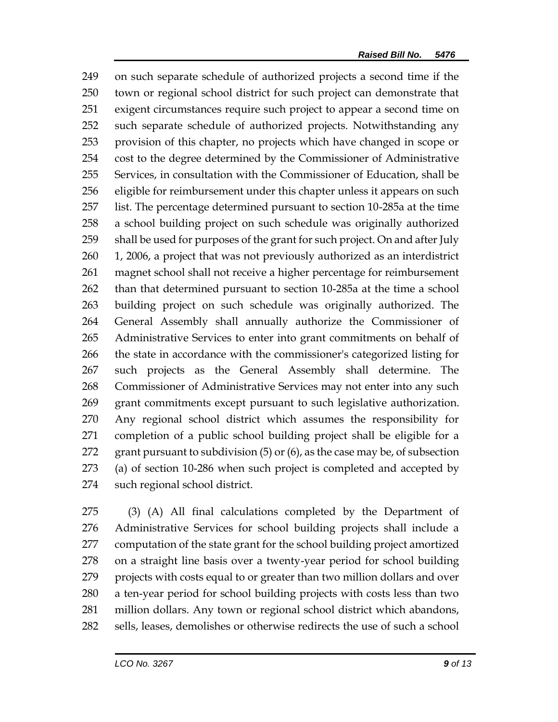on such separate schedule of authorized projects a second time if the town or regional school district for such project can demonstrate that exigent circumstances require such project to appear a second time on such separate schedule of authorized projects. Notwithstanding any provision of this chapter, no projects which have changed in scope or cost to the degree determined by the Commissioner of Administrative Services, in consultation with the Commissioner of Education, shall be eligible for reimbursement under this chapter unless it appears on such list. The percentage determined pursuant to section 10-285a at the time a school building project on such schedule was originally authorized shall be used for purposes of the grant for such project. On and after July 1, 2006, a project that was not previously authorized as an interdistrict magnet school shall not receive a higher percentage for reimbursement than that determined pursuant to section 10-285a at the time a school building project on such schedule was originally authorized. The General Assembly shall annually authorize the Commissioner of Administrative Services to enter into grant commitments on behalf of the state in accordance with the commissioner's categorized listing for such projects as the General Assembly shall determine. The Commissioner of Administrative Services may not enter into any such grant commitments except pursuant to such legislative authorization. Any regional school district which assumes the responsibility for completion of a public school building project shall be eligible for a grant pursuant to subdivision (5) or (6), as the case may be, of subsection (a) of section 10-286 when such project is completed and accepted by such regional school district.

 (3) (A) All final calculations completed by the Department of Administrative Services for school building projects shall include a computation of the state grant for the school building project amortized on a straight line basis over a twenty-year period for school building projects with costs equal to or greater than two million dollars and over a ten-year period for school building projects with costs less than two million dollars. Any town or regional school district which abandons, sells, leases, demolishes or otherwise redirects the use of such a school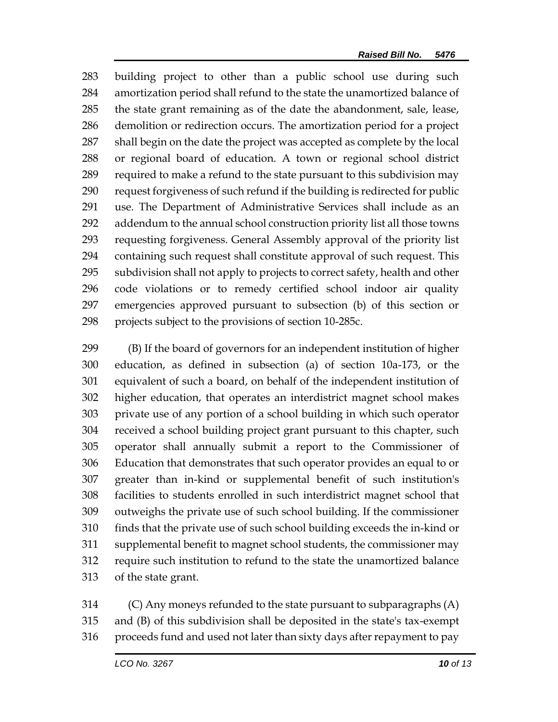building project to other than a public school use during such amortization period shall refund to the state the unamortized balance of the state grant remaining as of the date the abandonment, sale, lease, demolition or redirection occurs. The amortization period for a project shall begin on the date the project was accepted as complete by the local or regional board of education. A town or regional school district required to make a refund to the state pursuant to this subdivision may request forgiveness of such refund if the building is redirected for public use. The Department of Administrative Services shall include as an addendum to the annual school construction priority list all those towns requesting forgiveness. General Assembly approval of the priority list containing such request shall constitute approval of such request. This subdivision shall not apply to projects to correct safety, health and other code violations or to remedy certified school indoor air quality emergencies approved pursuant to subsection (b) of this section or projects subject to the provisions of section 10-285c.

 (B) If the board of governors for an independent institution of higher education, as defined in subsection (a) of section 10a-173, or the equivalent of such a board, on behalf of the independent institution of higher education, that operates an interdistrict magnet school makes private use of any portion of a school building in which such operator received a school building project grant pursuant to this chapter, such operator shall annually submit a report to the Commissioner of Education that demonstrates that such operator provides an equal to or greater than in-kind or supplemental benefit of such institution's facilities to students enrolled in such interdistrict magnet school that outweighs the private use of such school building. If the commissioner finds that the private use of such school building exceeds the in-kind or supplemental benefit to magnet school students, the commissioner may require such institution to refund to the state the unamortized balance of the state grant.

 (C) Any moneys refunded to the state pursuant to subparagraphs (A) and (B) of this subdivision shall be deposited in the state's tax-exempt proceeds fund and used not later than sixty days after repayment to pay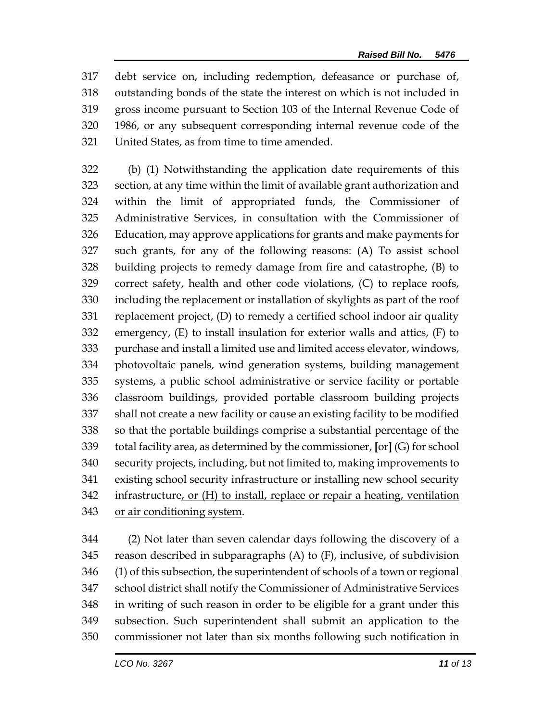debt service on, including redemption, defeasance or purchase of, outstanding bonds of the state the interest on which is not included in gross income pursuant to Section 103 of the Internal Revenue Code of 1986, or any subsequent corresponding internal revenue code of the United States, as from time to time amended.

 (b) (1) Notwithstanding the application date requirements of this section, at any time within the limit of available grant authorization and within the limit of appropriated funds, the Commissioner of Administrative Services, in consultation with the Commissioner of Education, may approve applications for grants and make payments for such grants, for any of the following reasons: (A) To assist school building projects to remedy damage from fire and catastrophe, (B) to correct safety, health and other code violations, (C) to replace roofs, including the replacement or installation of skylights as part of the roof replacement project, (D) to remedy a certified school indoor air quality emergency, (E) to install insulation for exterior walls and attics, (F) to purchase and install a limited use and limited access elevator, windows, photovoltaic panels, wind generation systems, building management systems, a public school administrative or service facility or portable classroom buildings, provided portable classroom building projects shall not create a new facility or cause an existing facility to be modified so that the portable buildings comprise a substantial percentage of the total facility area, as determined by the commissioner, **[**or**]** (G) for school security projects, including, but not limited to, making improvements to existing school security infrastructure or installing new school security infrastructure, or (H) to install, replace or repair a heating, ventilation or air conditioning system.

 (2) Not later than seven calendar days following the discovery of a reason described in subparagraphs (A) to (F), inclusive, of subdivision (1) of this subsection, the superintendent of schools of a town or regional school district shall notify the Commissioner of Administrative Services in writing of such reason in order to be eligible for a grant under this subsection. Such superintendent shall submit an application to the commissioner not later than six months following such notification in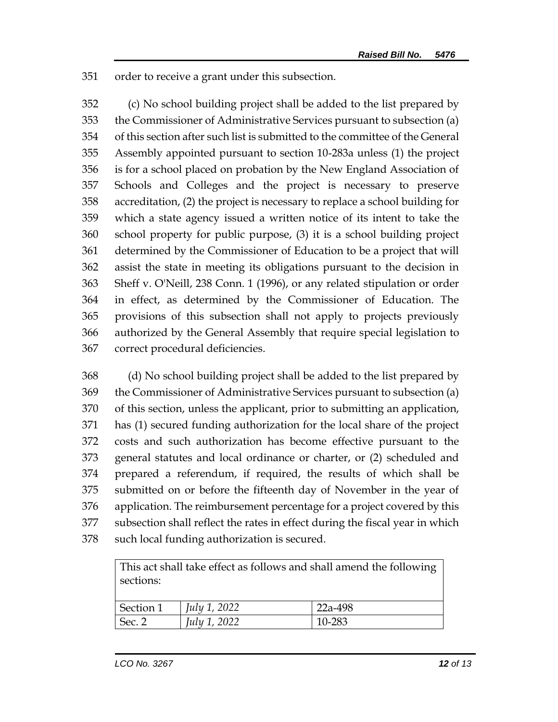order to receive a grant under this subsection.

 (c) No school building project shall be added to the list prepared by the Commissioner of Administrative Services pursuant to subsection (a) of this section after such list is submitted to the committee of the General Assembly appointed pursuant to section 10-283a unless (1) the project is for a school placed on probation by the New England Association of Schools and Colleges and the project is necessary to preserve accreditation, (2) the project is necessary to replace a school building for which a state agency issued a written notice of its intent to take the school property for public purpose, (3) it is a school building project determined by the Commissioner of Education to be a project that will assist the state in meeting its obligations pursuant to the decision in Sheff v. O'Neill, 238 Conn. 1 (1996), or any related stipulation or order in effect, as determined by the Commissioner of Education. The provisions of this subsection shall not apply to projects previously authorized by the General Assembly that require special legislation to correct procedural deficiencies.

 (d) No school building project shall be added to the list prepared by the Commissioner of Administrative Services pursuant to subsection (a) of this section, unless the applicant, prior to submitting an application, has (1) secured funding authorization for the local share of the project costs and such authorization has become effective pursuant to the general statutes and local ordinance or charter, or (2) scheduled and prepared a referendum, if required, the results of which shall be submitted on or before the fifteenth day of November in the year of application. The reimbursement percentage for a project covered by this subsection shall reflect the rates in effect during the fiscal year in which such local funding authorization is secured.

| This act shall take effect as follows and shall amend the following |                     |           |
|---------------------------------------------------------------------|---------------------|-----------|
| sections:                                                           |                     |           |
|                                                                     |                     |           |
| Section 1                                                           | <i>July 1, 2022</i> | $22a-498$ |
| Sec. 2                                                              | <i>July 1, 2022</i> | 10-283    |